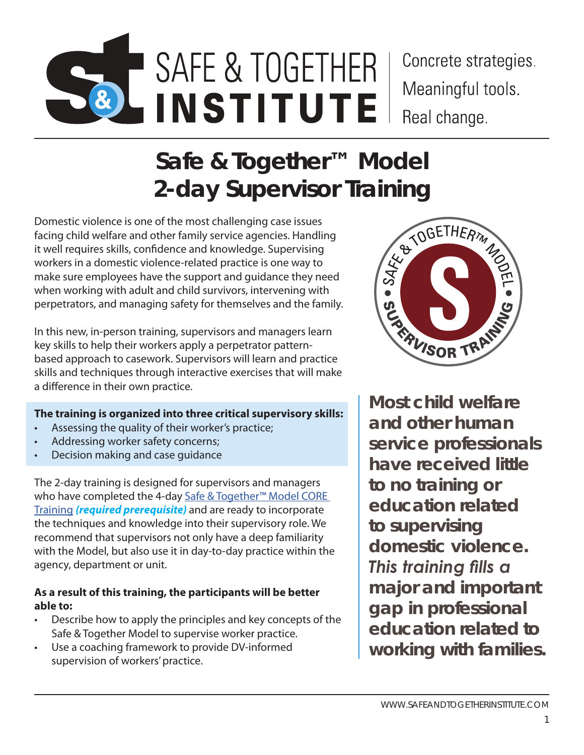# SAFE & TOGETHER MODEL TRAINER CERTIFICATION PROGRAM | **SAFE & TOGETHER INSTITUTE** SAFE & TOGETHER **INSTITUTE**

Concrete strategies. Meaningful tools. Real change.

# **Safe & Together™ Model**

2-day Supervisor Training<br>
of the most challenging case issues<br>
other family service agencies. Handling<br>
fidence and knowledge. Supervising<br>
plence-related practice is one way to<br>
ve the support and guidance they need<br>
t a Domestic violence is one of the most challenging case issues facing child welfare and other family service agencies. Handling it well requires skills, confidence and knowledge. Supervising workers in a domestic violence-related practice is one way to make sure employees have the support and guidance they need when working with adult and child survivors, intervening with perpetrators, and managing safety for themselves and the family.

In this new, in-person training, supervisors and managers learn key skills to help their workers apply a perpetrator patternbased approach to casework. Supervisors will learn and practice skills and techniques through interactive exercises that will make a difference in their own practice.

# **The training is organized into three critical supervisory skills:**

- Assessing the quality of their worker's practice;
- Addressing worker safety concerns;
- Decision making and case guidance

The 2-day training is designed for supervisors and managers who have completed the 4-day Safe & Together™ Model CORE [Training](https://safeandtogetherinstitute.com/what-we-offer/trainings/core-training/) *(required prerequisite)* and are ready to incorporate the techniques and knowledge into their supervisory role. We recommend that supervisors not only have a deep familiarity with the Model, but also use it in day-to-day practice within the agency, department or unit.

#### **As a result of this training, the participants will be better able to:**

- Describe how to apply the principles and key concepts of the Safe & Together Model to supervise worker practice.
- Use a coaching framework to provide DV-informed supervision of workers' practice.



*Most child welfare and other human service professionals have received little to no training or education related to supervising domestic violence. This training fills a major and important gap in professional education related to working with families.*